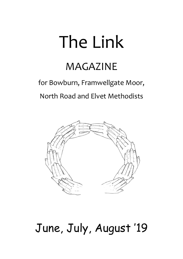# The Link

## MAGAZINE

## for Bowburn, Framwellgate Moor, North Road and Elvet Methodists



# June, July, August '19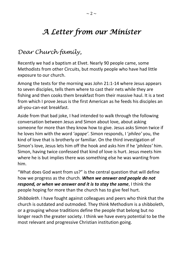## *A Letter from our Minister*

## *Dear Church family,*

Recently we had a baptism at Elvet. Nearly 90 people came, some Methodists from other Circuits, but mostly people who have had little exposure to our church.

Among the texts for the morning was John 21:1-14 where Jesus appears to seven disciples, tells them where to cast their nets while they are fishing and then cooks them breakfast from their massive haul. It is a text from which I prove Jesus is the first American as he feeds his disciples an all-you-can-eat breakfast.

Aside from that bad joke, I had intended to walk through the following conversation between Jesus and Simon about love, about asking someone for more than they know how to give. Jesus asks Simon twice if he loves him with the word '*agape'*. Simon responds, I '*phileo'* you, the kind of love that is brotherly or familiar. On the third investigation of Simon's love, Jesus lets him off the hook and asks him if he '*phileos'* him. Simon, having twice confessed that kind of love is hurt. Jesus meets him where he is but implies there was something else he was wanting from him.

"What does God want from us?" is the central question that will define how we progress as the church. *When we answer and people do not respond, or when we answer and it is to stay the same*, I think the people hoping for more than the church has to give feel hurt.

*Shibboleth*. I have fought against colleagues and peers who think that the church is outdated and outmoded. They think Methodism is a shibboleth, or a grouping whose traditions define the people that belong but no longer reach the greater society. I think we have every potential to be the most relevant and progressive Christian institution going.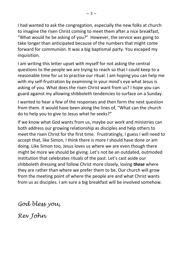I had wanted to ask the congregation, especially the new folks at church to imagine the risen Christ coming to meet them after a nice breakfast, "What would he be asking of you?" However, the service was going to take longer than anticipated because of the numbers that might come forward for communion. It was a big baptismal party. You escaped my inquisition.

I am writing this letter upset with myself for not asking the central questions to the people we are trying to reach so that I could keep to a reasonable time for us to practise our ritual. I am hoping you can help me with my self-frustration by examining in your mind's eye what Jesus is asking of you. What does the risen Christ want from us? I hope you can guard against my allowing shibboleth tendencies to surface on a Sunday.

I wanted to hear a few of the responses and then form the next question from them. It would have been along the lines of, "What can the church do to help you to give to Jesus what he seeks?"

If we know what God wants from us, maybe our work and ministries can both address our growing relationship as disciples and help others to meet the risen Christ for the first time. Frustratingly, I guess I will need to accept that, like Simon, I think there is more I should have done or am doing. Like Simon too, Jesus loves us where we are even though there might be more we should be giving. Let's not be an outdated, outmoded institution that celebrates rituals of the past. Let's cast aside our shibboleth dressing and follow Christ more closely, loving *those* where they are rather than where we prefer them to be. Our church will grow from the meeting point of where the people are and what Christ wants from us as disciples. I am sure a big breakfast will be involved somehow.

*God bless you,*

*Rev John*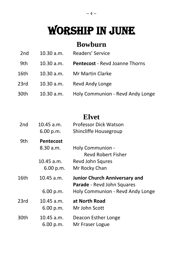# WORSHIP IN JUNE

## **Bowburn**

| Readers' Service<br>2nd<br>10.30 a.m. |
|---------------------------------------|
|---------------------------------------|

- 9th 10.30 a.m. **Pentecost**  Revd Joanne Thorns
- 16th 10.30 a.m. Mr Martin Clarke
- 23rd 10.30 a.m. Revd Andy Longe
- 30th 10.30 a.m. Holy Communion Revd Andy Longe

## **Elvet**

| 2 <sub>nd</sub> | $10.45$ a.m.     | <b>Professor Dick Watson</b>         |
|-----------------|------------------|--------------------------------------|
|                 | 6.00 p.m.        | Shincliffe Housegroup                |
| 9th             | <b>Pentecost</b> |                                      |
|                 | 8.30 a.m.        | Holy Communion -                     |
|                 |                  | <b>Revd Robert Fisher</b>            |
|                 | $10.45$ a.m.     | <b>Revd John Squres</b>              |
|                 | 6.00 p.m.        | Mr Rocky Chan                        |
| 16th            | $10.45$ a.m.     | <b>Junior Church Anniversary and</b> |
|                 |                  | <b>Parade</b> - Revd John Squares    |
|                 | 6.00 p.m.        | Holy Communion - Revd Andy Longe     |
| 23rd            | $10.45$ a.m.     | at North Road                        |
|                 | 6.00 p.m.        | Mr John Scott                        |
| 30th            | $10.45$ a.m.     | Deacon Esther Longe                  |
|                 | 6.00 p.m.        | Mr Fraser Logue                      |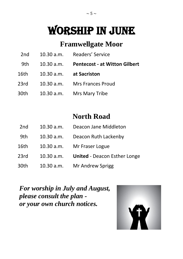# WORSHIP IN JUNE

## **Framwellgate Moor**

| 2 <sub>nd</sub> | 10.30 a.m. | Readers' Service |
|-----------------|------------|------------------|
|                 |            |                  |

- 9th 10.30 a.m. **Pentecost - at Witton Gilbert**
- 16th 10.30 a.m. **at Sacriston**
- 23rd10.30 a.m. Mrs Frances Proud
- 30th 10.30 a.m. Mrs Mary Tribe

## **North Road**

| 2nd | 10.30 a.m. | Deacon Jane Middleton |
|-----|------------|-----------------------|
|-----|------------|-----------------------|

- 9th 10.30 a.m. Deacon Ruth Lackenby
- 16th 10.30 a.m. Mr Fraser Logue
- 23rd 10.30 a.m. **United**  Deacon Esther Longe
- 30th 10.30 a.m. Mr Andrew Sprigg

*For worship in July and August, please consult the plan or your own church notices.*

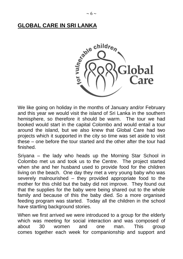

We like going on holiday in the months of January and/or February and this year we would visit the island of Sri Lanka in the southern hemisphere, so therefore it should be warm. The tour we had booked would start in the capital Colombo and would entail a tour around the island, but we also knew that Global Care had two projects which it supported in the city so time was set aside to visit these – one before the tour started and the other after the tour had finished.

Sriyana – the lady who heads up the Morning Star School in Colombo met us and took us to the Centre. The project started when she and her husband used to provide food for the children living on the beach. One day they met a very young baby who was severely malnourished – they provided appropriate food to the mother for this child but the baby did not improve. They found out that the supplies for the baby were being shared out to the whole family and because of this the baby died. So a more organised feeding program was started. Today all the children in the school have startling background stories.

When we first arrived we were introduced to a group for the elderly which was meeting for social interaction and was composed of about 30 women and one man. This group comes together each week for companionship and support and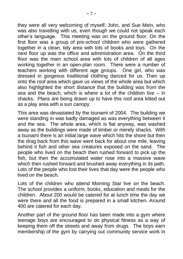they were all very welcoming of myself, John, and Sue Mein, who was also travelling with us, even though we could not speak each other's language. This meeting was on the ground floor. On the first floor was a group of pre-school children who were gathered together in a clean, tidy area with lots of books and toys. On the next floor up was the office and administration area. On the third floor was the main school area with lots of children of all ages working together in an open-plan room. There were a number of teachers working with different age groups. One girl, who was dressed in gorgeous traditional clothing danced for us. Then up onto the roof area which gave us views of the whole area but which also highlighted the short distance that the building was from the sea and the beach, which is where a lot of the children live – in shacks. Plans are being drawn up to have this roof area kitted out as a play area with a sun canopy.

This area was devastated by the tsunami of 2004. The building we were standing in was badly damaged as was everything between it and the sea. The whole area, which is flat anyway, was washed away as the buildings were made of timber or merely shacks. With a tsunami there is an initial large wave which hits the shore but then the drag back from this wave went back for about one mile, leaving behind it fish and other sea creatures exposed on the sand. The people who lived on the beach then rushed forward to pick up the fish, but then the accumulated water rose into a massive wave which then rushed forward and brushed away everything in its path. Lots of the people who lost their lives that day were the people who lived on the beach.

Lots of the children who attend Morning Star live on the beach. The school provides a uniform, books, education and meals for the children. About 200 would be catered for at lunch time the day we were there and all the food is prepared in a small kitchen. Around 400 are catered for each day.

Another part of the ground floor has been made into a gym where teenage boys are encouraged to do physical fitness as a way of keeping them off the streets and away from drugs. The boys earn membership of the gym by carrying out community service work in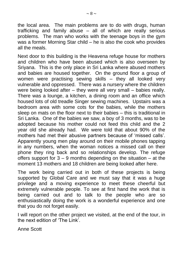the local area. The main problems are to do with drugs, human trafficking and family abuse – all of which are really serious problems. The man who works with the teenage boys in the gym was a former Morning Star child – he is also the cook who provides all the meals.

Next door to this building is the Heavena refuge house for mothers and children who have been abused which is also overseen by Sriyana. This is the only place in Sri Lanka where abused mothers and babies are housed together. On the ground floor a group of women were practising sewing skills – they all looked very vulnerable and oppressed. There was a nursery where the children were being looked after – they were all very small – babies really. There was a lounge, a kitchen, a dining room and an office which housed lots of old treadle Singer sewing machines. Upstairs was a bedroom area with some cots for the babies, while the mothers sleep on mats on the floor next to their babies – this is traditional in Sri Lanka. One of the babies we saw, a boy of 3 months, was to be adopted because his mother could not feed this child and the 2 year old she already had. We were told that about 90% of the mothers had met their abusive partners because of 'missed calls'. Apparently young men play around on their mobile phones tapping in any numbers, when the woman notices a missed call on their phone they ring back and so relationships develop. The refuge offers support for  $3 - 9$  months depending on the situation  $-$  at the moment 13 mothers and 18 children are being looked after here.

The work being carried out in both of these projects is being supported by Global Care and we must say that it was a huge privilege and a moving experience to meet these cheerful but extremely vulnerable people. To see at first hand the work that is being carried out and to talk to the people who are so enthusiastically doing the work is a wonderful experience and one that you do not forget easily.

I will report on the other project we visited, at the end of the tour, in the next edition of 'The Link'.

Anne Scott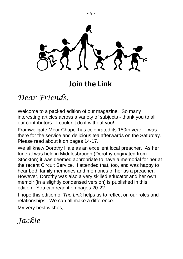

## **Join the Link**

*Dear Friends,*

Welcome to a packed edition of our magazine. So many interesting articles across a variety of subjects - thank you to all our contributors - I couldn't do it without you!

Framwellgate Moor Chapel has celebrated its 150th year! I was there for the service and delicious tea afterwards on the Saturday. Please read about it on pages 14-17.

We all knew Dorothy Hale as an excellent local preacher. As her funeral was held in Middlesbrough (Dorothy originated from Stockton) it was deemed appropriate to have a memorial for her at the recent Circuit Service. I attended that, too, and was happy to hear both family memories and memories of her as a preacher. However, Dorothy was also a very skilled educator and her own memoir (in a slightly condensed version) is published in this edition. You can read it on pages 20-22.

I hope this edition of *The Link* helps us to reflect on our roles and relationships. We can all make a difference.

My very best wishes,

*Jackie*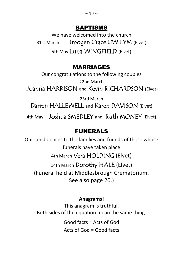#### BAPTISMS

We have welcomed into the church 31st March Imogen Grace GWILYM (Elvet) 5th May Luna WINGFIELD (Elvet)

## MARRIAGES

Our congratulations to the following couples 22nd March Joanna HARRISON and Kevin RICHARDSON (Elvet)

23rd March Darren HALLEWELL and Karen DAVISON (Elvet)

4th May Joshua SMEDLEY and Ruth MONEY (Elvet)

## FUNERALS

Our condolences to the families and friends of those whose funerals have taken place 4th March Vera HOLDING (Elvet) 14th March Dorothy HALE (Elvet) (Funeral held at Middlesbrough Crematorium. See also page 20.)

=======================

#### **Anagrams!**

This anagram is truthful. Both sides of the equation mean the same thing.

> Good facts = Acts of God Acts of God = Good facts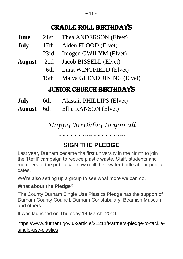## Cradle Roll Birthdays

| June | 21st | Thea ANDERSON (Elvet) |
|------|------|-----------------------|
|------|------|-----------------------|

- **July** 17th Aiden FLOOD (Elvet)
	- 23rd Imogen GWILYM (Elvet)
- **August** 2nd Jacob BISSELL (Elvet)
	- 6th Luna WINGFIELD (Elvet)
	- 15th Maiya GLENDDINING (Elvet)

## JUNIOR CHURCH BIRTHDAYS

| July              | 6th | <b>Alastair PHILLIPS (Elvet)</b> |
|-------------------|-----|----------------------------------|
| <b>August</b> 6th |     | Ellie RANSON (Elvet)             |

*Happy Birthday to you all*

*~~~~~~~~~~~~~~~~~*

## **SIGN THE PLEDGE**

Last year, Durham became the first university in the North to join the 'Refill' campaign to reduce plastic waste. Staff, students and members of the public can now refill their water bottle at our public cafes.

We're also setting up a group to see what more we can do.

#### **What about the Pledge?**

The County Durham Single Use Plastics Pledge has the support of Durham County Council, Durham Constabulary, Beamish Museum and others.

It was launched on Thursday 14 March, 2019.

[https://www.durham.gov.uk/article/21211/Partners-pledge-to-tackle](https://www.durham.gov.uk/article/21211/Partners-pledge-to-tackle-single-use-plastics)[single-use-plastics](https://www.durham.gov.uk/article/21211/Partners-pledge-to-tackle-single-use-plastics)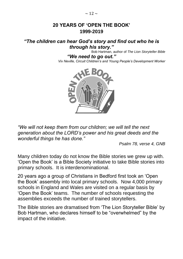#### **20 YEARS OF 'OPEN THE BOOK' 1999-2019**

#### *"The children can hear God's story and find out who he is through his story."*

Bob Hartman, author of *The Lion Storyteller Bible*

*"We need to go out." Viv Neville, Circuit Children's and Young People's Development Worker*



*"We will not keep them from our children; we will tell the next generation about the LORD's power and his great deeds and the wonderful things he has done."*

*Psalm 78, verse 4, GNB*

Many children today do not know the Bible stories we grew up with. 'Open the Book' is a Bible Society initiative to take Bible stories into primary schools. It is interdenominational.

20 years ago a group of Christians in Bedford first took an 'Open the Book' assembly into local primary schools. Now 4,000 primary schools in England and Wales are visited on a regular basis by 'Open the Book' teams. The number of schools requesting the assemblies exceeds the number of trained storytellers.

The Bible stories are dramatised from 'The Lion Storyteller Bible' by Bob Hartman, who declares himself to be "overwhelmed" by the impact of the initiative.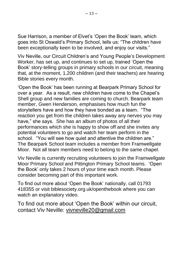Sue Harrison, a member of Elvet's 'Open the Book' team, which goes into St Oswald's Primary School, tells us: "The children have been exceptionally keen to be involved, and enjoy our visits."

Viv Neville, our Circuit Children's and Young People's Development Worker, has set up, and continues to set up, trained 'Open the Book' story-telling groups in primary schools in our circuit, meaning that, at the moment, 1,200 children (and their teachers) are hearing Bible stories every month.

'Open the Book' has been running at Bearpark Primary School for over a year. As a result, new children have come to the Chapel's Shell group and new families are coming to church. Bearpark team member, Gwen Henderson, emphasises how much fun the storytellers have and how they have bonded as a team. "The reaction you get from the children takes away any nerves you may have," she says. She has an album of photos of all their performances which she is happy to show off and she invites any potential volunteers to go and watch her team perform in the school. "You will see how quiet and attentive the children are." The Bearpark School team includes a member from Framwellgate Moor. Not all team members need to belong to the same chapel.

Viv Neville is currently recruiting volunteers to join the Framwellgate Moor Primary School and Pittington Primary School teams. 'Open the Book' only takes 2 hours of your time each month. Please consider becoming part of this important work.

To find out more about 'Open the Book' nationally, call 01793 418355 or visit biblesociety.org.uk/openthebook where you can watch an explanatory video.

To find out more about 'Open the Book' within our circuit, contact Viv Neville: [vivneville20@gmail.com](mailto:vivneville20@gmail.com)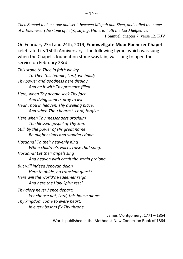*Then Samuel took a stone and set it between Mizpah and Shen, and called the name of it Eben-ezer (the stone of help), saying, Hitherto hath the Lord helped us.* 1 Samuel, chapter 7, verse 12, KJV

On February 23rd and 24th, 2019, **Framwellgate Moor Ebenezer Chapel** celebrated its 150th Anniversary. The following hymn, which was sung when the Chapel's foundation stone was laid, was sung to open the service on February 23rd.

*This stone to Thee in faith we lay To Thee this temple, Lord, we build; Thy power and goodness here display And be it with Thy presence filled. Here, when Thy people seek Thy face And dying sinners pray to live Hear Thou in heaven, Thy dwelling place, And when Thou hearest, Lord, forgive. Here when Thy messengers proclaim The blessed gospel of Thy Son, Still, by the power of His great name Be mighty signs and wonders done. Hosanna! To their heavenly King When children's voices raise that song, Hosanna! Let their angels sing And heaven with earth the strain prolong. But will indeed Jehovah deign Here to abide, no transient guest? Here will the world's Redeemer reign And here the Holy Spirit rest? Thy glory never hence depart: Yet choose not, Lord, this house alone: Thy kingdom come to every heart, In every bosom fix Thy throne.*

> James Montgomery, 1771 – 1854 Words published in the Methodist New Connexion Book of 1864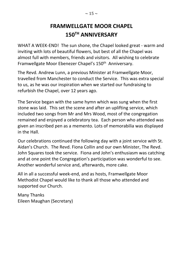## **FRAMWELLGATE MOOR CHAPEL 150TH ANNIVERSARY**

WHAT A WEEK-END! The sun shone, the Chapel looked great - warm and inviting with lots of beautiful flowers, but best of all the Chapel was almost full with members, friends and visitors. All wishing to celebrate Framwellgate Moor Ebenezer Chapel's 150<sup>th</sup> Anniversary.

The Revd. Andrew Lunn, a previous Minister at Framwellgate Moor, travelled from Manchester to conduct the Service. This was extra special to us, as he was our inspiration when we started our fundraising to refurbish the Chapel, over 12 years ago.

The Service began with the same hymn which was sung when the first stone was laid. This set the scene and after an uplifting service, which included two songs from Mr and Mrs Wood, most of the congregation remained and enjoyed a celebratory tea. Each person who attended was given an inscribed pen as a memento. Lots of memorabilia was displayed in the Hall.

Our celebrations continued the following day with a joint service with St. Aidan's Church. The Revd. Fiona Collin and our own Minister, The Revd. John Squares took the service. Fiona and John's enthusiasm was catching and at one point the Congregation's participation was wonderful to see. Another wonderful service and, afterwards, more cake.

All in all a successful week-end, and as hosts, Framwellgate Moor Methodist Chapel would like to thank all those who attended and supported our Church.

Many Thanks Eileen Maughan (Secretary)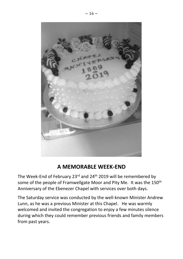

## **A MEMORABLE WEEK-END**

The Week-End of February 23rd and 24th 2019 will be remembered by some of the people of Framwellgate Moor and Pity Me. It was the 150<sup>th</sup> Anniversary of the Ebenezer Chapel with services over both days.

The Saturday service was conducted by the well-known Minister Andrew Lunn, as he was a previous Minister at this Chapel. He was warmly welcomed and invited the congregation to enjoy a few minutes silence during which they could remember previous friends and family members from past years.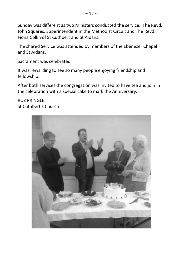Sunday was different as two Ministers conducted the service. The Revd. John Squares, Superintendent in the Methodist Circuit and The Revd. Fiona Collin of St Cuthbert and St Aidans.

The shared Service was attended by members of the Ebenezer Chapel and St Aidans.

Sacrament was celebrated.

It was rewarding to see so many people enjoying friendship and fellowship.

After both services the congregation was invited to have tea and join in the celebration with a special cake to mark the Anniversary.

ROZ PRINGLE St Cuthbert's Church

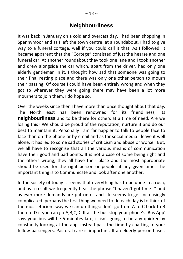#### **Neighbourliness**

It was back in January on a cold and overcast day. I had been shopping in Spennymoor and as I left the town centre, at a roundabout, I had to give way to a funeral cortege, well if you could call it that. As I followed, it became apparent that the "Cortege" consisted of just the hearse and one funeral car. At another roundabout they took one lane and I took another and drew alongside the car which, apart from the driver, had only one elderly gentleman in it. I thought how sad that someone was going to their final resting place and there was only one other person to mourn their passing. Of course I could have been entirely wrong and when they got to wherever they were going there may have been a lot more mourners to join them. I do hope so.

Over the weeks since then I have more than once thought about that day. The North east has been renowned for its friendliness, its **neighbourliness** and to be there for others at a time of need. Are we losing this? We should be proud of the reputation, nurture it and do our best to maintain it. Personally I am far happier to talk to people face to face than on the phone or by email and as for social media I leave it well alone; it has led to some sad stories of criticism and abuse or worse. But, we all have to recognise that all the various means of communication have their good and bad points. It is not a case of some being right and the others wrong; they all have their place and the most appropriate should be used for the right person or people at any given time. The important thing is to Communicate and look after one another.

In the society of today it seems that everything has to be done in a rush, and as a result we frequently hear the phrase "I haven't got time! " and as ever more demands are put on us and life seems to get increasingly complicated perhaps the first thing we need to do each day is to think of the most efficient way we can do things; don't go from A to C back to B then to D if you can go A,B,C,D. If at the bus stop your phone's 'Bus App' says your bus will be 5 minutes late, it isn't going to be any quicker by constantly looking at the app, instead pass the time by chatting to your fellow passengers. Pastoral care is important. If an elderly person hasn't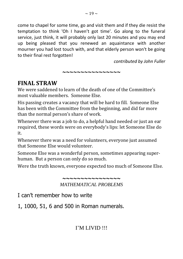come to chapel for some time, go and visit them and if they die resist the temptation to think 'Oh I haven't got time'. Go along to the funeral service, just think, it will probably only last 20 minutes and you may end up being pleased that you renewed an aquaintance with another mourner you had lost touch with, and that elderly person won't be going to their final rest forgotten!

**~~~~~~~~~~~~~~~~**

*contributed by John Fuller*

## **FINAL STRAW**

We were saddened to learn of the death of one of the Committee's most valuable members. Someone Else.

His passing creates a vacancy that will be hard to fill. Someone Else has been with the Committee from the beginning, and did far more than the normal person's share of work.

Whenever there was a job to do, a helpful hand needed or just an ear required, these words were on everybody's lips: let Someone Else do it.

Whenever there was a need for volunteers, everyone just assumed that Someone Else would volunteer.

Someone Else was a wonderful person, sometimes appearing superhuman. But a person can only do so much.

Were the truth known, everyone expected too much of Someone Else.

**~~~~~~~~~~~~~~~~** *MATHEMATICAL PROBLEMS*

I can't remember how to write

1, 1000, 51, 6 and 500 in Roman numerals.

#### I'M LIVID !!!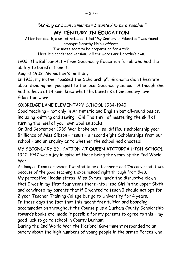"As long as I can remember I wanted to be a teacher"

#### **MY CENTURY IN EDUCATION**

After her death, a set of notes entitled "My Century in Education" was found amongst Dorothy Hale's effects.

> The notes seem to be preparation for a talk. Here is a condensed version. All the words are Dorothy's own.

1902 The Balfour Act – Free Secondary Education for all who had the ability to benefit from it.

August 1902 My mother's birthday.

In 1913, my mother "passed the Scholarship". Grandma didn't hesitate about sending her youngest to the local Secondary School. Although she had to leave at 14 mam knew what the benefits of Secondary level Education were.

#### OXBRIDGE LANE ELEMENTARY SCHOOL 1934-1940

Good teaching – not only in Arithmetic and English but all-round basics, including knitting and sewing. Oh! The thrill of mastering the skill of turning the heel of your own woollen socks.

On 3rd September 1939 War broke out – so, difficult scholarship year. Brilliance of Miss Gibson – result – a record eight Scholarships from our school – and an enquiry as to whether the school had cheated!

MY SECONDARY EDUCATION AT **QUEEN VICTORIA HIGH SCHOOL** 1940-1947 was a joy in spite of those being the years of the 2nd World War.

As long as I can remember I wanted to be a teacher – and I'm convinced it was because of the good teaching I experienced right through from 5-18.

My perceptive Headmistress, Miss Symes, made the disruptive clown that I was in my first four years there into Head Girl in the upper Sixth and convinced my parents that if I wanted to teach I should not opt for 2 year Teacher Training College but go to University for 4 years.

In those days the fact that this meant free tuition and boarding accommodation throughout the Course plus a Durham County Scholarship towards books etc. made it possible for my parents to agree to this – my good luck to go to school in County Durham!

During the 2nd World War the National Government responded to an outcry about the high numbers of young people in the armed Forces who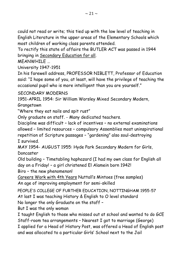could not read or write; this tied up with the low level of teaching in English Literature in the upper areas of the Elementary Schools which most children of working class parents attended.

To rectify this state of affairs the BUTLER ACT was passed in 1944 bringing in Secondary Education for all.

MEANWHILE …

University 1947-1951

In his farewell address, PROFESSOR NIBLETT, Professor of Education said: "I hope some of you, at least, will have the privilege of teaching the occasional pupil who is more intelligent than you are yourself."

SECONDARY MODERNS

1951-APRIL 1954: Sir William Worsley Mixed Secondary Modern,

Grangetown

"Where they eat nails and spit rust"

Only graduate on staff. - Many dedicated teachers.

Discipline was difficult – lack of incentives – no external examinations allowed – limited resources – compulsory Assemblies most uninspirational repetition of Scripture passages – "gardening" also soul-destroying I survived.

MAY 1954- AUGUST 1955: Hyde Park Secondary Modern for Girls, Doncaster

Old building – Timetabling haphazard (I had my own class for English all day on a Friday! – a girl christened El Alamein born 1942!

Biro – the new phenomenon!

Careers Work with 4th Years Nuttall's Mintoes (free samples) An age of improving employment for semi-skilled

PEOPLE'S COLLEGE OF FURTHER EDUCATION, NOTTINGHAM 1955-57 At last I was teaching History & English to O level standard

No longer the only Graduate on the staff –

But I was the only woman

I taught English to those who missed out at school and wanted to do GCE Staff-room tea arrangements – Nearest I got to marriage (George) I applied for a Head of History Post, was offered a Head of English post and was allocated to a particular Girls' School next to the Jail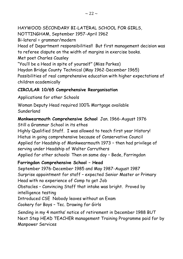HAYWOOD SECONDARY BI-LATERAL SCHOOL FOR GIRLS, NOTTINGHAM, September 1957-April 1962 Bi-lateral = grammar/modern Head of Department responsibilities!! But first management decision was to referee dispute on the width of margins in exercise books. Met poet Charles Causley "You'll be a Head in spite of yourself" (Miss Parkes) Haydon Bridge County Technical (May 1962-December 1965) Possibilities of real comprehensive education with higher expectations of children academically

#### **CIRCULAR 10/65 Comprehensive Reorganisation**

Applications for other Schools

Woman Deputy Head required 100% Mortgage available Sunderland

#### **Monkwearmouth Comprehensive School** Jan. 1966-August 1976

Still a Grammar School in its ethos

Highly Qualified Staff. I was allowed to teach first year History! Hiatus in going comprehensive because of Conservative Council Applied for Headship of Monkwearmouth 1973 – then had privilege of serving under Headship of Walter Carruthers Applied for other schools: Then on same day – Bede, Farringdon

#### **Farringdon Comprehensive School – Head**

September 1976-December 1985 and May 1987-August 1987 Surprise appointment for staff – expected Senior Master or Primary Head with no experience of Comp to get Job Obstacles – Convincing Staff that intake was bright. Proved by intelligence testing Introduced CSE Nobody leaves without an Exam Cookery for Boys – Tec. Drawing for Girls Sending in my 4 months' notice of retirement in December 1988 BUT

Next Step HEAD TEACHER management Training Programme paid for by Manpower Services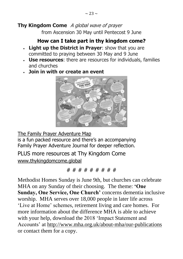#### **Thy Kingdom Come** A global wave of prayer

from Ascension 30 May until Pentecost 9 June

### **How can I take part in thy kingdom come?**

- **Light up the District in Prayer:** show that you are committed to praying between 30 May and 9 June
- **Use resources**: there are resources for individuals, families and churches
- **Join in with or create an event**



[The Family Prayer Adventure Map](https://darlingtonmethodistdistrict.us9.list-manage.com/track/click?u=de4ae80e996d7ba85b81d9fd2&id=3c54838cd8&e=0994c50636)

is a fun packed resource and there's an accompanying Family Prayer Adventure Journal for deeper reflection.

[PLUS more resources at](https://darlingtonmethodistdistrict.us9.list-manage.com/track/click?u=de4ae80e996d7ba85b81d9fd2&id=3779b39a27&e=0994c50636) Thy Kingdom Come [www.thykingdomcome.global](http://www.thykingdomcome.global/)

# # # # # # # # #

Methodist Homes Sunday is June 9th, but churches can celebrate MHA on any Sunday of their choosing. The theme: **'One Sunday, One Service, One Church'** concerns dementia inclusive worship. MHA serves over 18,000 people in later life across 'Live at Home' schemes, retirement living and care homes. For more information about the difference MHA is able to achieve with your help, download the 2018 'Impact Statement and Accounts' at [http://www.mha.org.uk/about-mha/our-publications](https://www.donate.mha.org.uk/page.redir?target=http%3a%2f%2fwww.mha.org.uk%2fabout-mha%2four-publications&srcid=1033&srctid=1&erid=76490&trid=) or contact them for a copy.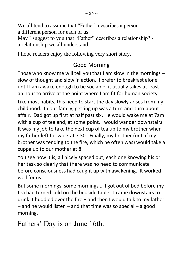We all tend to assume that "Father" describes a person a different person for each of us.

May I suggest to you that "Father" describes a relationship? a relationship we all understand.

I hope readers enjoy the following very short story.

## Good Morning

Those who know me will tell you that I am slow in the mornings – slow of thought and slow in action. I prefer to breakfast alone until I am awake enough to be sociable; it usually takes at least an hour to arrive at the point where I am fit for human society.

Like most habits, this need to start the day slowly arises from my childhood. In our family, getting up was a turn-and-turn-about affair. Dad got up first at half past six. He would wake me at 7am with a cup of tea and, at some point, I would wander downstairs. It was my job to take the next cup of tea up to my brother when my father left for work at 7.30. Finally, my brother (or I, if my brother was tending to the fire, which he often was) would take a cuppa up to our mother at 8.

You see how it is, all nicely spaced out, each one knowing his or her task so clearly that there was no need to communicate before consciousness had caught up with awakening. It worked well for us.

But some mornings, some mornings … I got out of bed before my tea had turned cold on the bedside table. I came downstairs to drink it huddled over the fire – and then I would talk to my father – and he would listen – and that time was so special – a good morning.

Fathers' Day is on June 16th.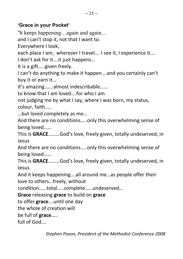#### **'Grace in your Pocket'**

"It keeps happening…again and again…

and I can't stop it, not that I want to.

Everywhere I look,

each place I am, wherever I travel…. I see it, I experience it….

I don't ask for it….it just happens…

It is a gift…..given freely.

I can't do anything to make it happen….and you certainly can't buy it or earn it…

It's amazing…….almost indescribable……

to know that I am loved….for who I am

not judging me by what I say, where I was born, my status, colour, faith…..

…but loved completely as me…

And there are no conditions…..only this overwhelming sense of being loved……

This is **GRACE**………God's love, freely given, totally undeserved, in Jesus

And there are no conditions…..only this overwhelming sense of being loved……

This is **GRACE**………God's love, freely given, totally undeserved, in Jesus.

And it keeps happening….all around me…as people offer their love to others…freely, without

condition……total…..complete……undeserved…

**Grace** releasing **grace** to build on **grace**

to offer **grace**….until one day

the whole of creation will

be full of **grace**…..

full of God….

*Stephen Poxon, President of the Methodist Conference 2008*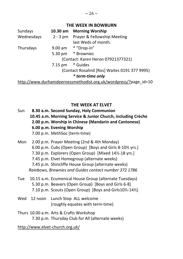#### **THE WEEK IN BOWBURN**

| Sundays    | $10.30$ am       | <b>Morning Worship</b>                                          |
|------------|------------------|-----------------------------------------------------------------|
| Wednesdays |                  | 2 - 3 pm Prayer & Fellowship Meeting                            |
|            |                  | last Weds of month.                                             |
| Thursdays  |                  | 9.00 am * "Drop-in"                                             |
|            |                  | 5.30 pm * Brownies                                              |
|            |                  | (Contact: Karen Heron 07921377321)                              |
|            | 7.15 pm * Guides |                                                                 |
|            |                  | (Contact Rosalind [Ros] Waites 0191 377 9995)                   |
|            |                  | * term-time only                                                |
|            |                  | http://www.durhamdeernessmethodist.org.uk/wordpress/?page id=10 |

#### **THE WEEK AT ELVET**

- Sun **8.30 a.m. Second Sunday, Holy Communion 10.45 a.m. Morning Service & Junior Church, including Crèche 2.00 p.m. Worship in Chinese (Mandarin and Cantonese) 6.00 p.m. Evening Worship**  7.00 p.m. MethSoc (term-time)
- Mon 2.00 p.m. Prayer Meeting (2nd & 4th Monday) 6.00 p.m. Cubs (Open Group) [Boys and Girls 8-10½ yrs.] 7.30 p.m. Explorers (Open Group) [Mixed 14½-18 yrs.] 7.45 p.m. Elvet Homegroup (alternate weeks) 7.45 p.m. Shincliffe House Group (alternate weeks) *Rainbows, Brownies and Guides contact number 372 1786*
- Tue 10.15 a.m. Ecumenical House Group (alternate Tuesdays) 5.30 p.m. Beavers (Open Group) [Boys and Girls 6-8] 7.10 p.m. Scouts (Open Group) [Boys and Girls10½-14½]
- Wed 12 noon Lunch Stop ALL welcome (roughly equates with term-time)
- Thurs 10.00 a.m. Arts & Crafts Workshop 7.30 p.m. Thursday Club for All (alternate weeks)

http://www.elvet-church.org.uk/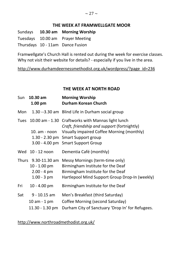#### **THE WEEK AT FRAMWELLGATE MOOR**

Sundays **10.30 am Morning Worship** Tuesdays 10.00 am Prayer Meeting Thursdays 10 - 11am Dance Fusion

Framwellgate's Church Hall is rented out during the week for exercise classes. Why not visit their website for details? - especially if you live in the area.

http://www.durhamdeernessmethodist.org.uk/wordpress/?page\_id=236

#### **THE WEEK AT NORTH ROAD**

| Sun         | $10.30$ am<br>$1.00$ pm                                                         | <b>Morning Worship</b><br><b>Durham Korean Church</b>                                                                                                                                                       |
|-------------|---------------------------------------------------------------------------------|-------------------------------------------------------------------------------------------------------------------------------------------------------------------------------------------------------------|
| Mon         |                                                                                 | 1.30 --3.30 am Blind Life in Durham social group                                                                                                                                                            |
| <b>Tues</b> | $10.00$ am $- 1.30$<br>10. am - noon                                            | Craftworks with Mannas light lunch<br>Craft, friendship and support (fortnightly)<br>Visually impaired Coffee Morning (monthly)<br>1.30 - 2.30 pm Smart Support group<br>3.00 - 4.00 pm Smart Support Group |
|             | Wed 10 - 12 noon                                                                | Dementia Café (monthly)                                                                                                                                                                                     |
|             | Thurs 9.30-11.30 am<br>$10 - 1.00$ pm<br>$2.00 - 4 \text{ pm}$<br>$1.00 - 3 pm$ | Messy Mornings (term-time only)<br>Birmingham Institute for the Deaf<br>Birmingham Institute for the Deaf<br>Hartlepool Mind Support Group Drop-In (weekly)                                                 |
| Fri         | $10 - 4.00$ pm                                                                  | Birmingham Institute for the Deaf                                                                                                                                                                           |
| Sat         | $9 - 10.15$ am<br>$10$ am $-1$ pm<br>$11.30 - 1.30$ pm                          | Men's Breakfast (third Saturday)<br>Coffee Morning (second Saturday)<br>Durham City of Sanctuary 'Drop In' for Refugees.                                                                                    |

http://www.northroadmethodist.org.uk/